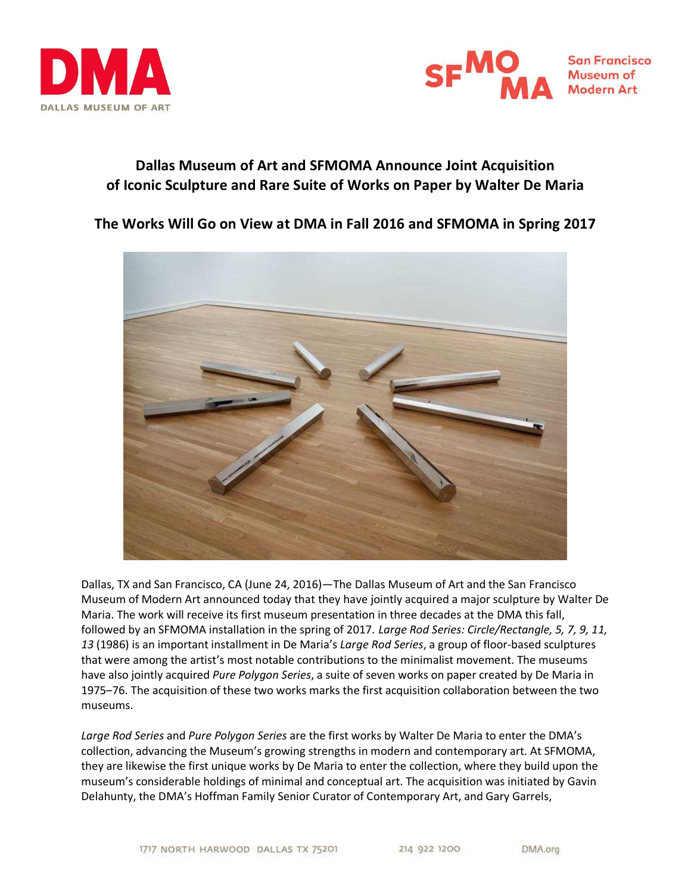



DMA.org

# Dallas Museum of Art and SFMOMA Announce Joint Acquisition of Iconic Sculpture and Rare Suite of Works on Paper by Walter De Maria

# The Works Will Go on View at DMA in Fall 2016 and SFMOMA in Spring 2017



Dallas, TX and San Francisco, CA (June 24, 2016)—The Dallas Museum of Art and the San Francisco Museum of Modern Art announced today that they have jointly acquired a major sculpture by Walter De Maria. The work will receive its first museum presentation in three decades at the DMA this fall, followed by an SFMOMA installation in the spring of 2017. Large Rod Series: Circle/Rectangle, 5, 7, 9, 11, 13 (1986) is an important installment in De Maria's Large Rod Series, a group of floor-based sculptures that were among the artist's most notable contributions to the minimalist movement. The museums have also jointly acquired Pure Polygon Series, a suite of seven works on paper created by De Maria in 1975–76. The acquisition of these two works marks the first acquisition collaboration between the two museums.

Large Rod Series and Pure Polygon Series are the first works by Walter De Maria to enter the DMA's collection, advancing the Museum's growing strengths in modern and contemporary art. At SFMOMA, they are likewise the first unique works by De Maria to enter the collection, where they build upon the museum's considerable holdings of minimal and conceptual art. The acquisition was initiated by Gavin Delahunty, the DMA's Hoffman Family Senior Curator of Contemporary Art, and Gary Garrels,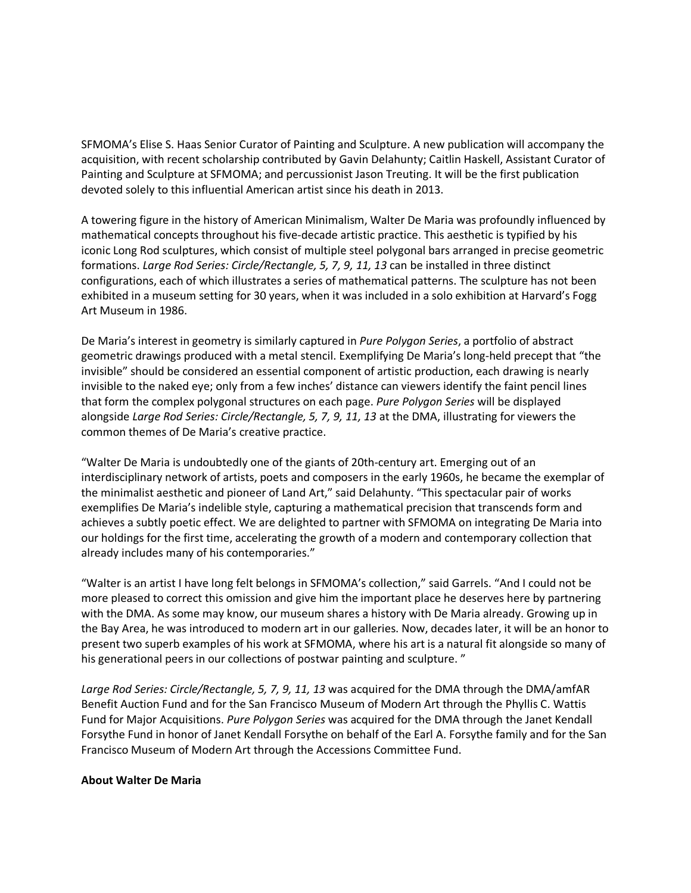SFMOMA's Elise S. Haas Senior Curator of Painting and Sculpture. A new publication will accompany the acquisition, with recent scholarship contributed by Gavin Delahunty; Caitlin Haskell, Assistant Curator of Painting and Sculpture at SFMOMA; and percussionist Jason Treuting. It will be the first publication devoted solely to this influential American artist since his death in 2013.

A towering figure in the history of American Minimalism, Walter De Maria was profoundly influenced by mathematical concepts throughout his five-decade artistic practice. This aesthetic is typified by his iconic Long Rod sculptures, which consist of multiple steel polygonal bars arranged in precise geometric formations. Large Rod Series: Circle/Rectangle, 5, 7, 9, 11, 13 can be installed in three distinct configurations, each of which illustrates a series of mathematical patterns. The sculpture has not been exhibited in a museum setting for 30 years, when it was included in a solo exhibition at Harvard's Fogg Art Museum in 1986.

De Maria's interest in geometry is similarly captured in Pure Polygon Series, a portfolio of abstract geometric drawings produced with a metal stencil. Exemplifying De Maria's long-held precept that "the invisible" should be considered an essential component of artistic production, each drawing is nearly invisible to the naked eye; only from a few inches' distance can viewers identify the faint pencil lines that form the complex polygonal structures on each page. Pure Polygon Series will be displayed alongside Large Rod Series: Circle/Rectangle, 5, 7, 9, 11, 13 at the DMA, illustrating for viewers the common themes of De Maria's creative practice.

"Walter De Maria is undoubtedly one of the giants of 20th-century art. Emerging out of an interdisciplinary network of artists, poets and composers in the early 1960s, he became the exemplar of the minimalist aesthetic and pioneer of Land Art," said Delahunty. "This spectacular pair of works exemplifies De Maria's indelible style, capturing a mathematical precision that transcends form and achieves a subtly poetic effect. We are delighted to partner with SFMOMA on integrating De Maria into our holdings for the first time, accelerating the growth of a modern and contemporary collection that already includes many of his contemporaries."

"Walter is an artist I have long felt belongs in SFMOMA's collection," said Garrels. "And I could not be more pleased to correct this omission and give him the important place he deserves here by partnering with the DMA. As some may know, our museum shares a history with De Maria already. Growing up in the Bay Area, he was introduced to modern art in our galleries. Now, decades later, it will be an honor to present two superb examples of his work at SFMOMA, where his art is a natural fit alongside so many of his generational peers in our collections of postwar painting and sculpture. "

Large Rod Series: Circle/Rectangle, 5, 7, 9, 11, 13 was acquired for the DMA through the DMA/amfAR Benefit Auction Fund and for the San Francisco Museum of Modern Art through the Phyllis C. Wattis Fund for Major Acquisitions. Pure Polygon Series was acquired for the DMA through the Janet Kendall Forsythe Fund in honor of Janet Kendall Forsythe on behalf of the Earl A. Forsythe family and for the San Francisco Museum of Modern Art through the Accessions Committee Fund.

### About Walter De Maria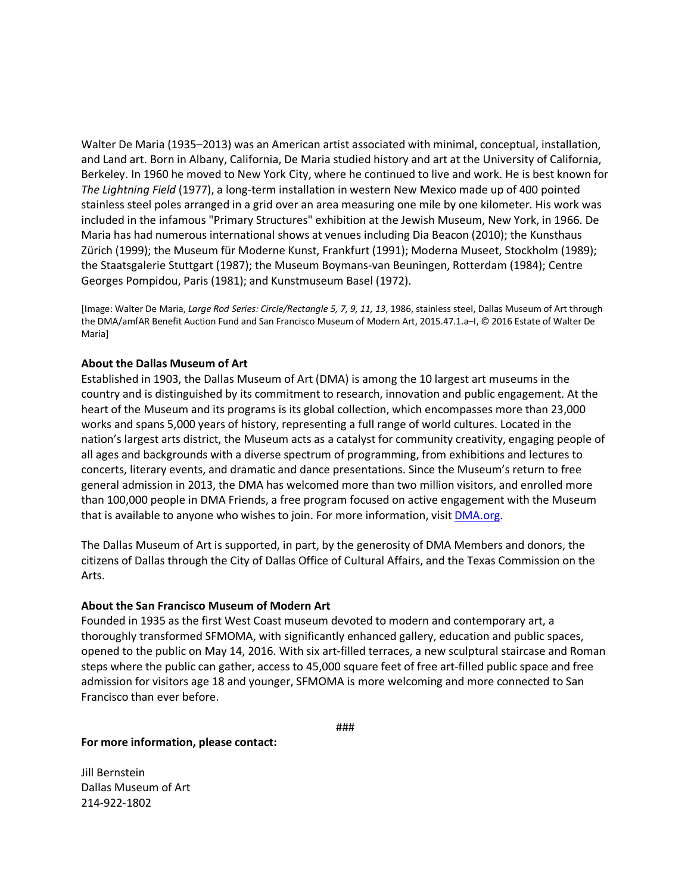Walter De Maria (1935–2013) was an American artist associated with minimal, conceptual, installation, and Land art. Born in Albany, California, De Maria studied history and art at the University of California, Berkeley. In 1960 he moved to New York City, where he continued to live and work. He is best known for The Lightning Field (1977), a long-term installation in western New Mexico made up of 400 pointed stainless steel poles arranged in a grid over an area measuring one mile by one kilometer. His work was included in the infamous "Primary Structures" exhibition at the Jewish Museum, New York, in 1966. De Maria has had numerous international shows at venues including Dia Beacon (2010); the Kunsthaus Zürich (1999); the Museum für Moderne Kunst, Frankfurt (1991); Moderna Museet, Stockholm (1989); the Staatsgalerie Stuttgart (1987); the Museum Boymans-van Beuningen, Rotterdam (1984); Centre Georges Pompidou, Paris (1981); and Kunstmuseum Basel (1972).

[Image: Walter De Maria, Large Rod Series: Circle/Rectangle 5, 7, 9, 11, 13, 1986, stainless steel, Dallas Museum of Art through the DMA/amfAR Benefit Auction Fund and San Francisco Museum of Modern Art, 2015.47.1.a–I, © 2016 Estate of Walter De Maria]

## About the Dallas Museum of Art

Established in 1903, the Dallas Museum of Art (DMA) is among the 10 largest art museums in the country and is distinguished by its commitment to research, innovation and public engagement. At the heart of the Museum and its programs is its global collection, which encompasses more than 23,000 works and spans 5,000 years of history, representing a full range of world cultures. Located in the nation's largest arts district, the Museum acts as a catalyst for community creativity, engaging people of all ages and backgrounds with a diverse spectrum of programming, from exhibitions and lectures to concerts, literary events, and dramatic and dance presentations. Since the Museum's return to free general admission in 2013, the DMA has welcomed more than two million visitors, and enrolled more than 100,000 people in DMA Friends, a free program focused on active engagement with the Museum that is available to anyone who wishes to join. For more information, visit **DMA.org**.

The Dallas Museum of Art is supported, in part, by the generosity of DMA Members and donors, the citizens of Dallas through the City of Dallas Office of Cultural Affairs, and the Texas Commission on the Arts.

### About the San Francisco Museum of Modern Art

Founded in 1935 as the first West Coast museum devoted to modern and contemporary art, a thoroughly transformed SFMOMA, with significantly enhanced gallery, education and public spaces, opened to the public on May 14, 2016. With six art-filled terraces, a new sculptural staircase and Roman steps where the public can gather, access to 45,000 square feet of free art-filled public space and free admission for visitors age 18 and younger, SFMOMA is more welcoming and more connected to San Francisco than ever before.

###

#### For more information, please contact:

Jill Bernstein Dallas Museum of Art 214-922-1802